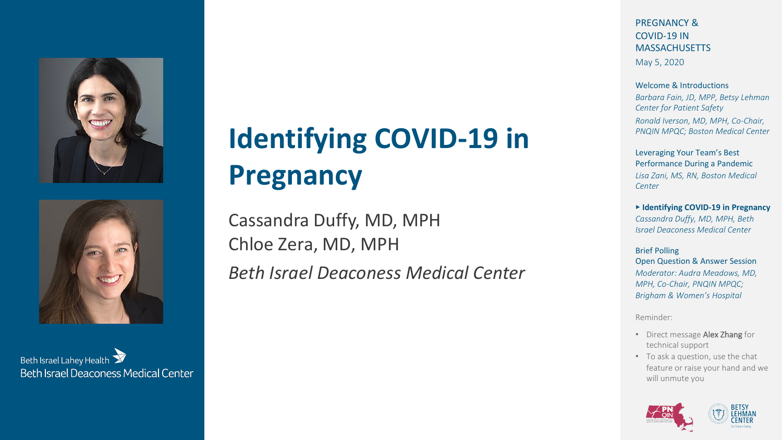



Beth Israel Lahey Health **Beth Israel Deaconess Medical Center** 

# **Identifying COVID-19 in Pregnancy**

Cassandra Duffy, MD, MPH Chloe Zera, MD, MPH

*Beth Israel Deaconess Medical Center*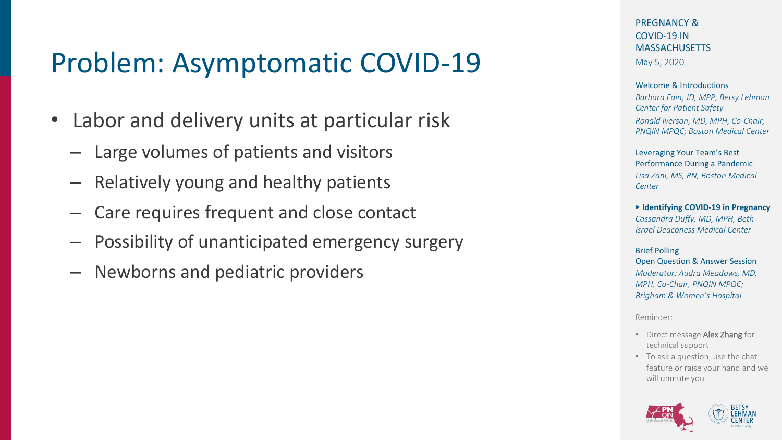# Problem: Asymptomatic COVID-19

- Labor and delivery units at particular risk
	- Large volumes of patients and visitors
	- Relatively young and healthy patients
	- Care requires frequent and close contact
	- Possibility of unanticipated emergency surgery
	- Newborns and pediatric providers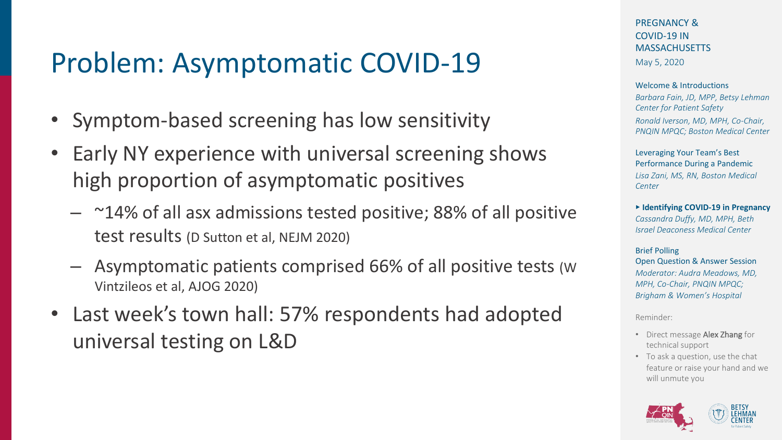# Problem: Asymptomatic COVID-19

- Symptom-based screening has low sensitivity
- Early NY experience with universal screening shows high proportion of asymptomatic positives
	- $-$  ~14% of all asx admissions tested positive; 88% of all positive test results (D Sutton et al, NEJM 2020)
	- Asymptomatic patients comprised 66% of all positive tests (W Vintzileos et al, AJOG 2020)
- Last week's town hall: 57% respondents had adopted universal testing on L&D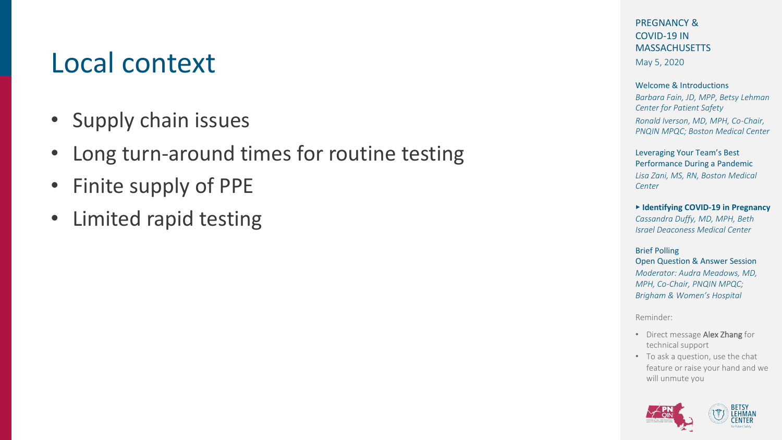# Local context

- Supply chain issues
- Long turn-around times for routine testing
- Finite supply of PPE
- Limited rapid testing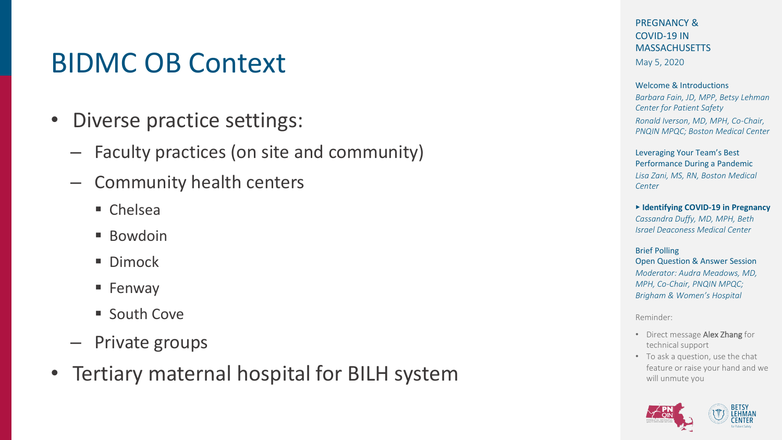# BIDMC OB Context

- Diverse practice settings:
	- Faculty practices (on site and community)
	- Community health centers
		- Chelsea
		- Bowdoin
		- Dimock
		- § Fenway
		- South Cove
	- Private groups
- Tertiary maternal hospital for BILH system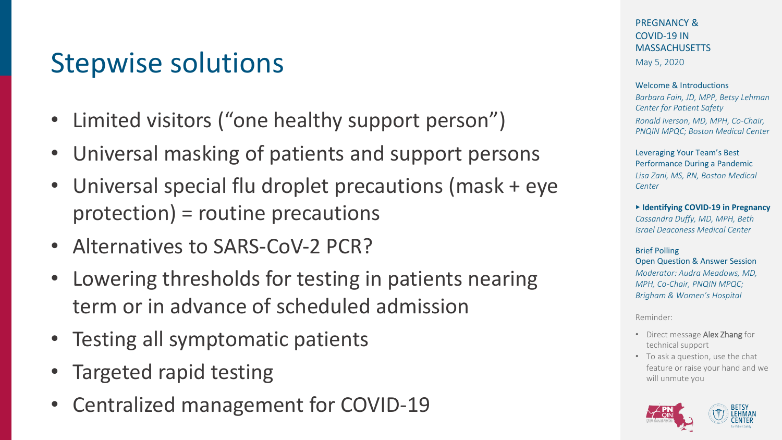# Stepwise solutions

- Limited visitors ("one healthy support person")
- Universal masking of patients and support persons
- Universal special flu droplet precautions (mask + eye protection) = routine precautions
- Alternatives to SARS-CoV-2 PCR?
- Lowering thresholds for testing in patients nearing term or in advance of scheduled admission
- Testing all symptomatic patients
- Targeted rapid testing
- Centralized management for COVID-19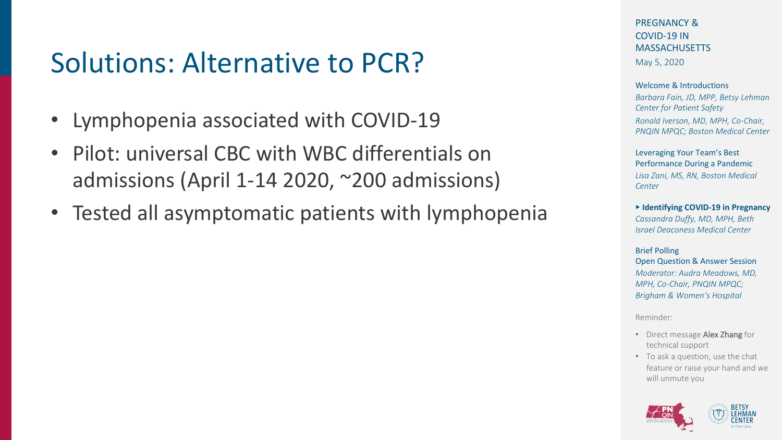# Solutions: Alternative to PCR?

- Lymphopenia associated with COVID-19
- Pilot: universal CBC with WBC differentials on admissions (April 1-14 2020, ~200 admissions)
- Tested all asymptomatic patients with lymphopenia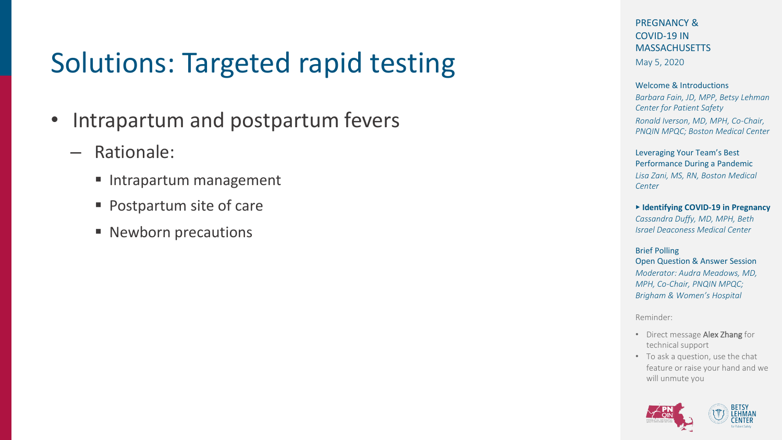# Solutions: Targeted rapid testing

- Intrapartum and postpartum fevers
	- Rationale:
		- Intrapartum management
		- Postpartum site of care
		- Newborn precautions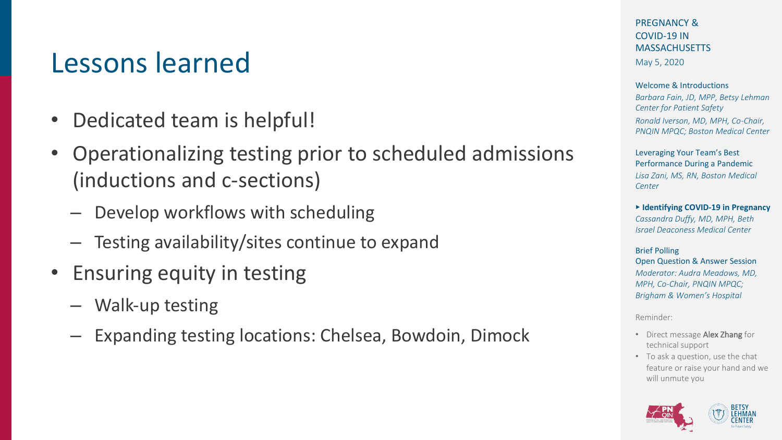#### Lessons learned

- Dedicated team is helpful!
- Operationalizing testing prior to scheduled admissions (inductions and c-sections)
	- Develop workflows with scheduling
	- Testing availability/sites continue to expand
- Ensuring equity in testing
	- Walk-up testing
	- Expanding testing locations: Chelsea, Bowdoin, Dimock